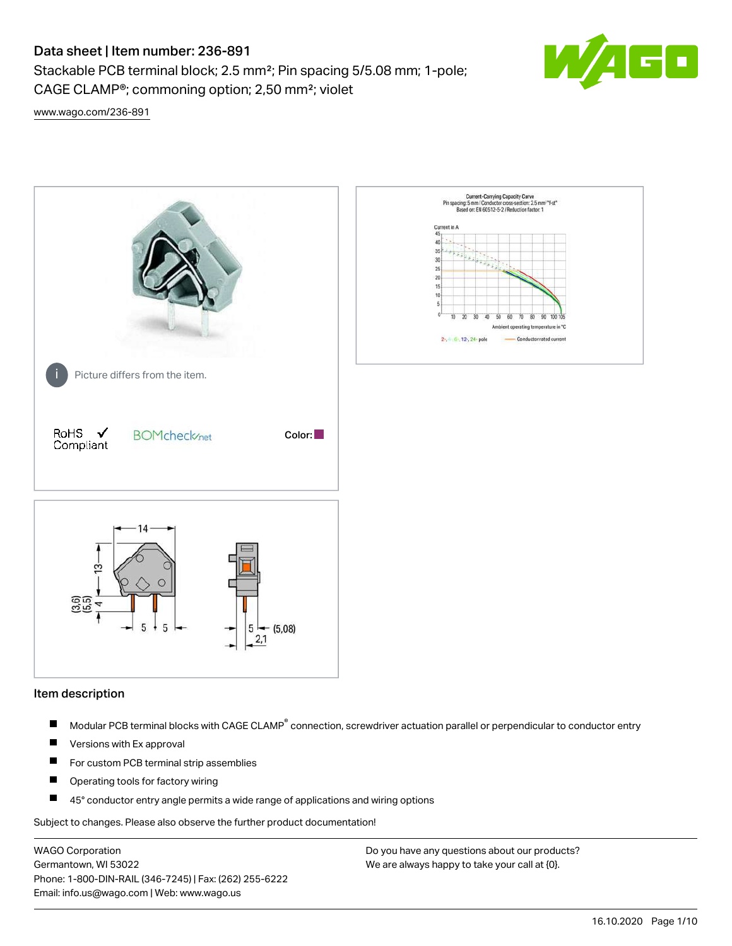# Data sheet | Item number: 236-891

Stackable PCB terminal block; 2.5 mm²; Pin spacing 5/5.08 mm; 1-pole; CAGE CLAMP®; commoning option; 2,50 mm²; violet



[www.wago.com/236-891](http://www.wago.com/236-891)



#### Item description

- Modular PCB terminal blocks with CAGE CLAMP<sup>®</sup> connection, screwdriver actuation parallel or perpendicular to conductor entry П
- $\blacksquare$ Versions with Ex approval
- П For custom PCB terminal strip assemblies
- $\blacksquare$ Operating tools for factory wiring
- $\blacksquare$ 45° conductor entry angle permits a wide range of applications and wiring options

Subject to changes. Please also observe the further product documentation!

WAGO Corporation Germantown, WI 53022 Phone: 1-800-DIN-RAIL (346-7245) | Fax: (262) 255-6222 Email: info.us@wago.com | Web: www.wago.us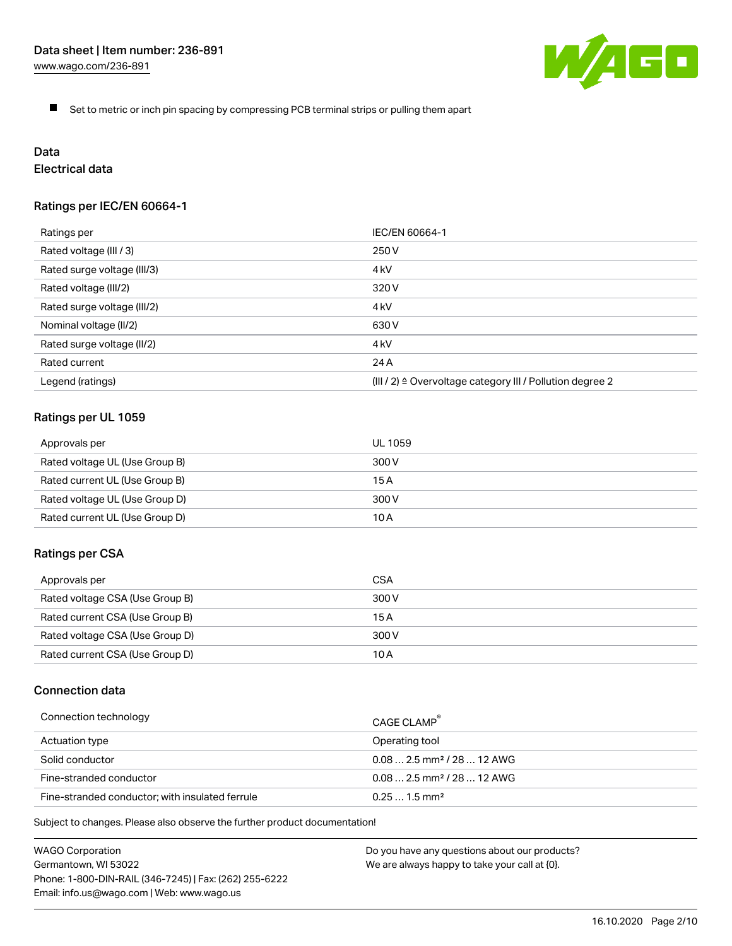

 $\blacksquare$ Set to metric or inch pin spacing by compressing PCB terminal strips or pulling them apart

# Data

# Electrical data

# Ratings per IEC/EN 60664-1

| Ratings per                                                                               | IEC/EN 60664-1   |
|-------------------------------------------------------------------------------------------|------------------|
| Rated voltage (III / 3)                                                                   | 250 V            |
| Rated surge voltage (III/3)                                                               | 4 <sub>kV</sub>  |
| Rated voltage (III/2)                                                                     | 320 V            |
| Rated surge voltage (III/2)                                                               | 4 <sub>k</sub> V |
| Nominal voltage (II/2)                                                                    | 630 V            |
| Rated surge voltage (II/2)                                                                | 4 <sub>kV</sub>  |
| Rated current                                                                             | 24 A             |
| Legend (ratings)<br>$(III / 2)$ $\triangle$ Overvoltage category III / Pollution degree 2 |                  |

# Ratings per UL 1059

| Approvals per                  | UL 1059 |
|--------------------------------|---------|
| Rated voltage UL (Use Group B) | 300 V   |
| Rated current UL (Use Group B) | 15 A    |
| Rated voltage UL (Use Group D) | 300 V   |
| Rated current UL (Use Group D) | 10 A    |

#### Ratings per CSA

| Approvals per                   | CSA   |
|---------------------------------|-------|
| Rated voltage CSA (Use Group B) | 300 V |
| Rated current CSA (Use Group B) | 15 A  |
| Rated voltage CSA (Use Group D) | 300 V |
| Rated current CSA (Use Group D) | 10 A  |

# Connection data

| Connection technology                           | CAGE CLAMP                              |
|-------------------------------------------------|-----------------------------------------|
| Actuation type                                  | Operating tool                          |
| Solid conductor                                 | $0.08$ 2.5 mm <sup>2</sup> / 28  12 AWG |
| Fine-stranded conductor                         | $0.082.5$ mm <sup>2</sup> / 28  12 AWG  |
| Fine-stranded conductor; with insulated ferrule | $0.251.5$ mm <sup>2</sup>               |

Subject to changes. Please also observe the further product documentation!

WAGO Corporation Germantown, WI 53022 Phone: 1-800-DIN-RAIL (346-7245) | Fax: (262) 255-6222 Email: info.us@wago.com | Web: www.wago.us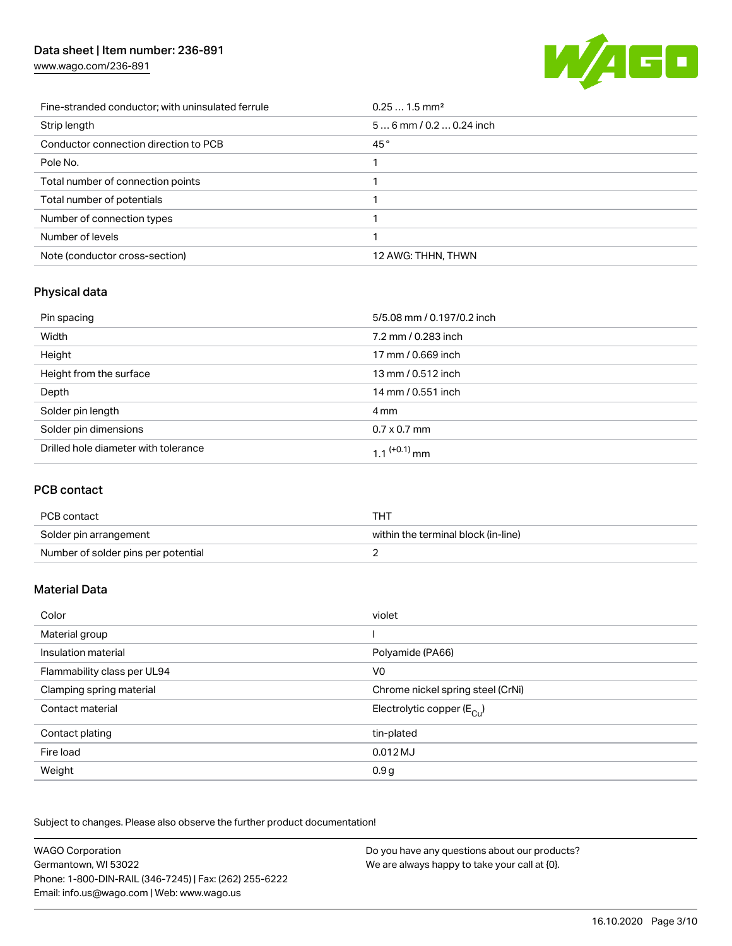# Data sheet | Item number: 236-891

[www.wago.com/236-891](http://www.wago.com/236-891)



| Fine-stranded conductor; with uninsulated ferrule | $0.251.5$ mm <sup>2</sup> |
|---------------------------------------------------|---------------------------|
| Strip length                                      | $56$ mm / 0.2  0.24 inch  |
| Conductor connection direction to PCB             | 45°                       |
| Pole No.                                          |                           |
| Total number of connection points                 |                           |
| Total number of potentials                        |                           |
| Number of connection types                        |                           |
| Number of levels                                  |                           |
| Note (conductor cross-section)                    | 12 AWG: THHN, THWN        |

# Physical data

| Pin spacing                          | 5/5.08 mm / 0.197/0.2 inch |
|--------------------------------------|----------------------------|
| Width                                | 7.2 mm / 0.283 inch        |
| Height                               | 17 mm / 0.669 inch         |
| Height from the surface              | 13 mm / 0.512 inch         |
| Depth                                | 14 mm / 0.551 inch         |
| Solder pin length                    | 4 mm                       |
| Solder pin dimensions                | $0.7 \times 0.7$ mm        |
| Drilled hole diameter with tolerance | 1.1 <sup>(+0.1)</sup> mm   |

# PCB contact

| PCB contact                         | THT                                 |
|-------------------------------------|-------------------------------------|
| Solder pin arrangement              | within the terminal block (in-line) |
| Number of solder pins per potential |                                     |

# Material Data

| Color                       | violet                                  |
|-----------------------------|-----------------------------------------|
| Material group              |                                         |
| Insulation material         | Polyamide (PA66)                        |
| Flammability class per UL94 | V <sub>0</sub>                          |
| Clamping spring material    | Chrome nickel spring steel (CrNi)       |
| Contact material            | Electrolytic copper ( $E_{\text{Cu}}$ ) |
| Contact plating             | tin-plated                              |
| Fire load                   | $0.012$ MJ                              |
| Weight                      | 0.9 <sub>g</sub>                        |

Subject to changes. Please also observe the further product documentation!

| <b>WAGO Corporation</b>                                | Do you have any questions about our products? |
|--------------------------------------------------------|-----------------------------------------------|
| Germantown, WI 53022                                   | We are always happy to take your call at {0}. |
| Phone: 1-800-DIN-RAIL (346-7245)   Fax: (262) 255-6222 |                                               |
| Email: info.us@wago.com   Web: www.wago.us             |                                               |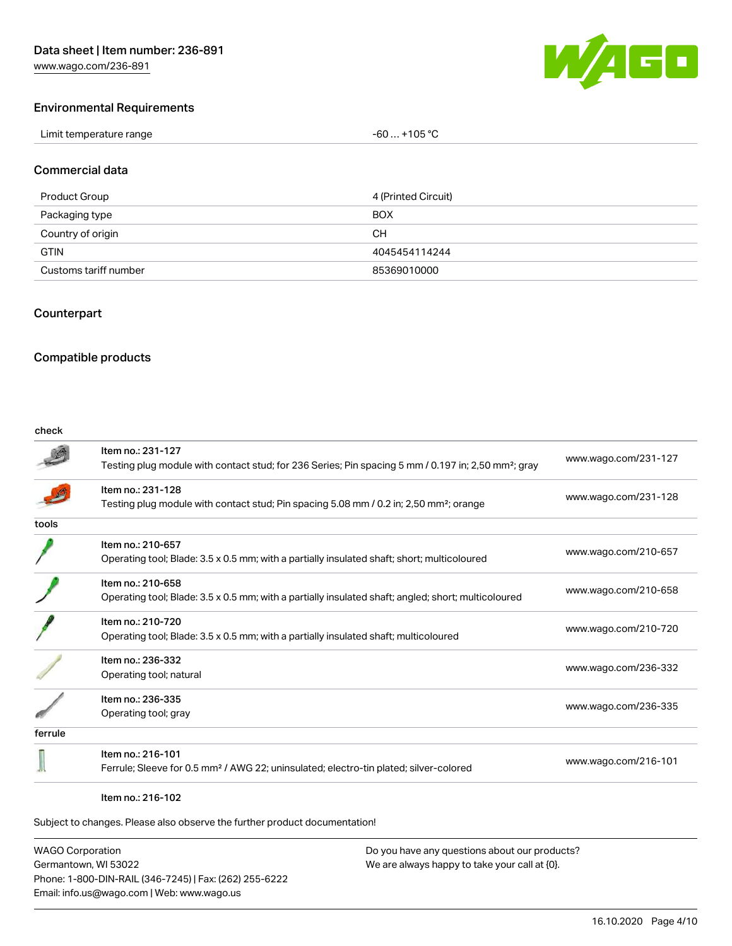

#### Environmental Requirements

| Limit temperature range<br>. | +105 $^{\circ}$ C<br>-60 |
|------------------------------|--------------------------|
|------------------------------|--------------------------|

#### Commercial data

| Product Group         | 4 (Printed Circuit) |
|-----------------------|---------------------|
| Packaging type        | <b>BOX</b>          |
| Country of origin     | CН                  |
| <b>GTIN</b>           | 4045454114244       |
| Customs tariff number | 85369010000         |

#### Counterpart

### Compatible products

#### check

|         | Item no.: 231-127                                                                                               |                      |
|---------|-----------------------------------------------------------------------------------------------------------------|----------------------|
|         | Testing plug module with contact stud; for 236 Series; Pin spacing 5 mm / 0.197 in; 2,50 mm <sup>2</sup> ; gray | www.wago.com/231-127 |
|         | Item no.: 231-128                                                                                               | www.wago.com/231-128 |
|         | Testing plug module with contact stud; Pin spacing 5.08 mm / 0.2 in; 2,50 mm <sup>2</sup> ; orange              |                      |
| tools   |                                                                                                                 |                      |
|         | Item no.: 210-657                                                                                               | www.wago.com/210-657 |
|         | Operating tool; Blade: 3.5 x 0.5 mm; with a partially insulated shaft; short; multicoloured                     |                      |
|         | Item no.: 210-658                                                                                               |                      |
|         | Operating tool; Blade: 3.5 x 0.5 mm; with a partially insulated shaft; angled; short; multicoloured             | www.wago.com/210-658 |
|         | Item no.: 210-720                                                                                               |                      |
|         | Operating tool; Blade: 3.5 x 0.5 mm; with a partially insulated shaft; multicoloured                            | www.wago.com/210-720 |
|         | Item no.: 236-332                                                                                               |                      |
|         | Operating tool; natural                                                                                         | www.wago.com/236-332 |
|         | Item no.: 236-335                                                                                               |                      |
|         | Operating tool; gray                                                                                            | www.wago.com/236-335 |
| ferrule |                                                                                                                 |                      |
|         | Item no.: 216-101                                                                                               |                      |
|         | Ferrule; Sleeve for 0.5 mm <sup>2</sup> / AWG 22; uninsulated; electro-tin plated; silver-colored               | www.wago.com/216-101 |
|         |                                                                                                                 |                      |

#### Item no.: 216-102

Subject to changes. Please also observe the further product documentation!

WAGO Corporation Germantown, WI 53022 Phone: 1-800-DIN-RAIL (346-7245) | Fax: (262) 255-6222 Email: info.us@wago.com | Web: www.wago.us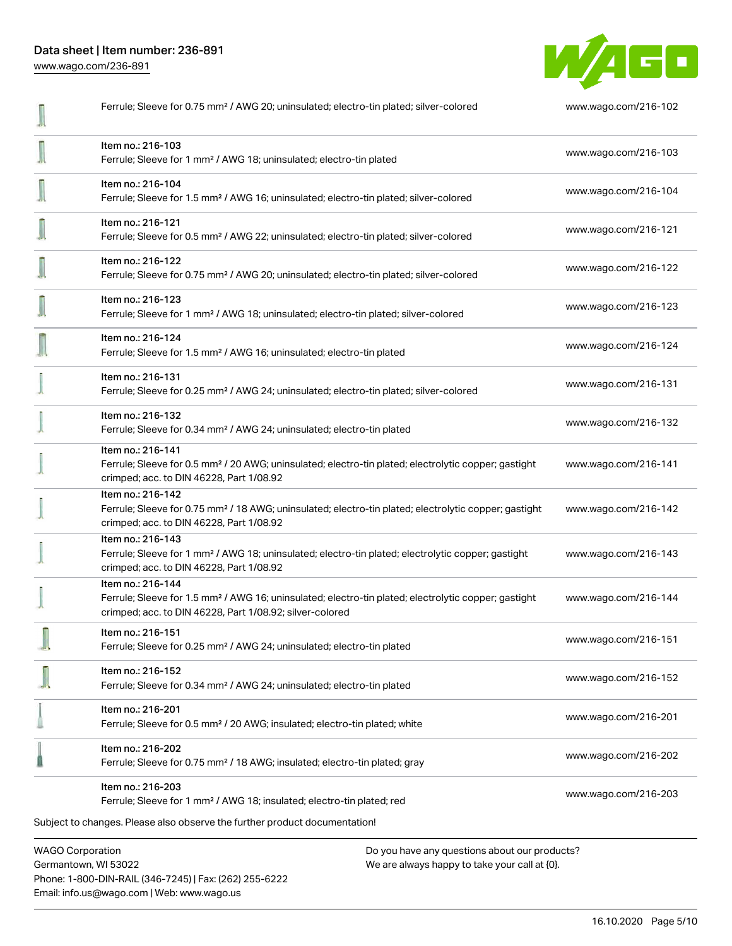Data sheet | Item number: 236-891 [www.wago.com/236-891](http://www.wago.com/236-891)



| <b>WAGO Corporation</b>                                                                                                                                                                           | Do you have any questions about our products? |  |
|---------------------------------------------------------------------------------------------------------------------------------------------------------------------------------------------------|-----------------------------------------------|--|
| Ferrule; Sleeve for 1 mm <sup>2</sup> / AWG 18; insulated; electro-tin plated; red<br>Subject to changes. Please also observe the further product documentation!                                  |                                               |  |
| Item no.: 216-203                                                                                                                                                                                 | www.wago.com/216-203                          |  |
| Item no.: 216-202<br>Ferrule; Sleeve for 0.75 mm <sup>2</sup> / 18 AWG; insulated; electro-tin plated; gray                                                                                       | www.wago.com/216-202                          |  |
| Item no.: 216-201<br>Ferrule; Sleeve for 0.5 mm <sup>2</sup> / 20 AWG; insulated; electro-tin plated; white                                                                                       | www.wago.com/216-201                          |  |
| Item no.: 216-152<br>Ferrule; Sleeve for 0.34 mm <sup>2</sup> / AWG 24; uninsulated; electro-tin plated                                                                                           | www.wago.com/216-152                          |  |
| Item no.: 216-151<br>Ferrule; Sleeve for 0.25 mm <sup>2</sup> / AWG 24; uninsulated; electro-tin plated                                                                                           | www.wago.com/216-151                          |  |
| Item no.: 216-144<br>Ferrule; Sleeve for 1.5 mm <sup>2</sup> / AWG 16; uninsulated; electro-tin plated; electrolytic copper; gastight<br>crimped; acc. to DIN 46228, Part 1/08.92; silver-colored | www.wago.com/216-144                          |  |
| Item no.: 216-143<br>Ferrule; Sleeve for 1 mm <sup>2</sup> / AWG 18; uninsulated; electro-tin plated; electrolytic copper; gastight<br>crimped; acc. to DIN 46228, Part 1/08.92                   | www.wago.com/216-143                          |  |
| Item no.: 216-142<br>Ferrule; Sleeve for 0.75 mm <sup>2</sup> / 18 AWG; uninsulated; electro-tin plated; electrolytic copper; gastight<br>crimped; acc. to DIN 46228, Part 1/08.92                | www.wago.com/216-142                          |  |
| Item no.: 216-141<br>Ferrule; Sleeve for 0.5 mm <sup>2</sup> / 20 AWG; uninsulated; electro-tin plated; electrolytic copper; gastight<br>crimped; acc. to DIN 46228, Part 1/08.92                 | www.wago.com/216-141                          |  |
| Item no.: 216-132<br>Ferrule; Sleeve for 0.34 mm <sup>2</sup> / AWG 24; uninsulated; electro-tin plated                                                                                           | www.wago.com/216-132                          |  |
| Item no.: 216-131<br>Ferrule; Sleeve for 0.25 mm <sup>2</sup> / AWG 24; uninsulated; electro-tin plated; silver-colored                                                                           | www.wago.com/216-131                          |  |
| Item no.: 216-124<br>Ferrule; Sleeve for 1.5 mm <sup>2</sup> / AWG 16; uninsulated; electro-tin plated                                                                                            | www.wago.com/216-124                          |  |
| Item no.: 216-123<br>Ferrule; Sleeve for 1 mm <sup>2</sup> / AWG 18; uninsulated; electro-tin plated; silver-colored                                                                              | www.wago.com/216-123                          |  |
| Item no.: 216-122<br>Ferrule; Sleeve for 0.75 mm <sup>2</sup> / AWG 20; uninsulated; electro-tin plated; silver-colored                                                                           | www.wago.com/216-122                          |  |
| Item no.: 216-121<br>Ferrule; Sleeve for 0.5 mm <sup>2</sup> / AWG 22; uninsulated; electro-tin plated; silver-colored                                                                            | www.wago.com/216-121                          |  |
| Item no.: 216-104<br>Ferrule; Sleeve for 1.5 mm <sup>2</sup> / AWG 16; uninsulated; electro-tin plated; silver-colored                                                                            | www.wago.com/216-104                          |  |
| Item no.: 216-103<br>Ferrule; Sleeve for 1 mm <sup>2</sup> / AWG 18; uninsulated; electro-tin plated                                                                                              | www.wago.com/216-103                          |  |
| Ferrule; Sleeve for 0.75 mm <sup>2</sup> / AWG 20; uninsulated; electro-tin plated; silver-colored                                                                                                | www.wago.com/216-102                          |  |

Germantown, WI 53022 Phone: 1-800-DIN-RAIL (346-7245) | Fax: (262) 255-6222 Email: info.us@wago.com | Web: www.wago.us

We are always happy to take your call at {0}.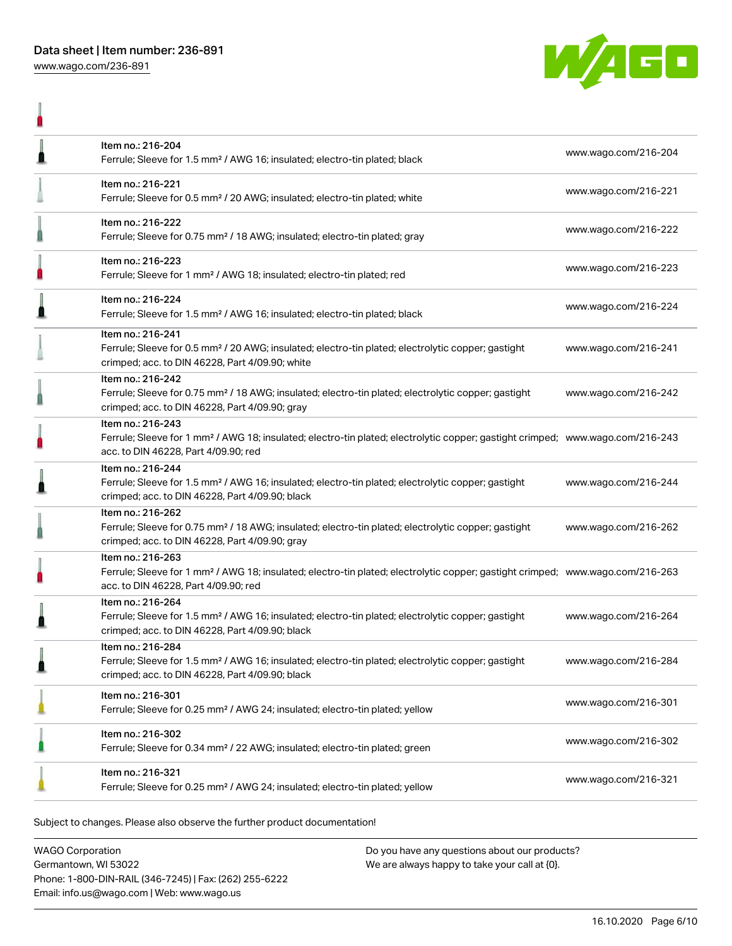

|   | Item no.: 216-204<br>Ferrule; Sleeve for 1.5 mm <sup>2</sup> / AWG 16; insulated; electro-tin plated; black                                                                                             | www.wago.com/216-204 |
|---|---------------------------------------------------------------------------------------------------------------------------------------------------------------------------------------------------------|----------------------|
|   | Item no.: 216-221<br>Ferrule; Sleeve for 0.5 mm <sup>2</sup> / 20 AWG; insulated; electro-tin plated; white                                                                                             | www.wago.com/216-221 |
|   | Item no.: 216-222<br>Ferrule; Sleeve for 0.75 mm <sup>2</sup> / 18 AWG; insulated; electro-tin plated; gray                                                                                             | www.wago.com/216-222 |
|   | Item no.: 216-223<br>Ferrule; Sleeve for 1 mm <sup>2</sup> / AWG 18; insulated; electro-tin plated; red                                                                                                 | www.wago.com/216-223 |
|   | Item no.: 216-224<br>Ferrule; Sleeve for 1.5 mm <sup>2</sup> / AWG 16; insulated; electro-tin plated; black                                                                                             | www.wago.com/216-224 |
|   | Item no.: 216-241<br>Ferrule; Sleeve for 0.5 mm <sup>2</sup> / 20 AWG; insulated; electro-tin plated; electrolytic copper; gastight<br>crimped; acc. to DIN 46228, Part 4/09.90; white                  | www.wago.com/216-241 |
|   | Item no.: 216-242<br>Ferrule; Sleeve for 0.75 mm <sup>2</sup> / 18 AWG; insulated; electro-tin plated; electrolytic copper; gastight<br>crimped; acc. to DIN 46228, Part 4/09.90; gray                  | www.wago.com/216-242 |
|   | Item no.: 216-243<br>Ferrule; Sleeve for 1 mm <sup>2</sup> / AWG 18; insulated; electro-tin plated; electrolytic copper; gastight crimped; www.wago.com/216-243<br>acc. to DIN 46228, Part 4/09.90; red |                      |
|   | Item no.: 216-244<br>Ferrule; Sleeve for 1.5 mm <sup>2</sup> / AWG 16; insulated; electro-tin plated; electrolytic copper; gastight<br>crimped; acc. to DIN 46228, Part 4/09.90; black                  | www.wago.com/216-244 |
| 0 | Item no.: 216-262<br>Ferrule; Sleeve for 0.75 mm <sup>2</sup> / 18 AWG; insulated; electro-tin plated; electrolytic copper; gastight<br>crimped; acc. to DIN 46228, Part 4/09.90; gray                  | www.wago.com/216-262 |
|   | Item no.: 216-263<br>Ferrule; Sleeve for 1 mm <sup>2</sup> / AWG 18; insulated; electro-tin plated; electrolytic copper; gastight crimped; www.wago.com/216-263<br>acc. to DIN 46228, Part 4/09.90; red |                      |
| Å | Item no.: 216-264<br>Ferrule; Sleeve for 1.5 mm <sup>2</sup> / AWG 16; insulated; electro-tin plated; electrolytic copper; gastight<br>crimped; acc. to DIN 46228, Part 4/09.90; black                  | www.wago.com/216-264 |
|   | Item no.: 216-284<br>Ferrule; Sleeve for 1.5 mm <sup>2</sup> / AWG 16; insulated; electro-tin plated; electrolytic copper; gastight<br>crimped; acc. to DIN 46228, Part 4/09.90; black                  | www.wago.com/216-284 |
|   | Item no.: 216-301<br>Ferrule; Sleeve for 0.25 mm <sup>2</sup> / AWG 24; insulated; electro-tin plated; yellow                                                                                           | www.wago.com/216-301 |
|   | Item no.: 216-302<br>Ferrule; Sleeve for 0.34 mm <sup>2</sup> / 22 AWG; insulated; electro-tin plated; green                                                                                            | www.wago.com/216-302 |
|   | Item no.: 216-321<br>Ferrule; Sleeve for 0.25 mm <sup>2</sup> / AWG 24; insulated; electro-tin plated; yellow                                                                                           | www.wago.com/216-321 |

Subject to changes. Please also observe the further product documentation!

WAGO Corporation Germantown, WI 53022 Phone: 1-800-DIN-RAIL (346-7245) | Fax: (262) 255-6222 Email: info.us@wago.com | Web: www.wago.us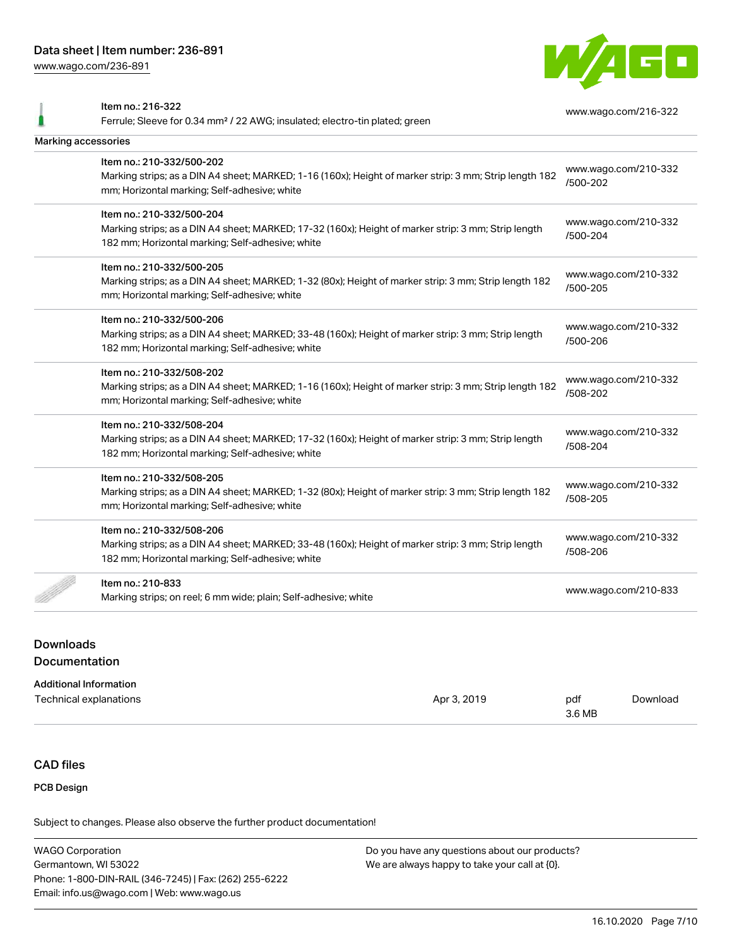Item no.: 216-322

[www.wago.com/236-891](http://www.wago.com/236-891)



Ferrule; Sleeve for 0.34 mm² / 22 AWG; insulated; electro-tin plated; green [www.wago.com/216-322](http://www.wago.com/216-322) Marking accessories Item no.: 210-332/500-202 Marking strips; as a DIN A4 sheet; MARKED; 1-16 (160x); Height of marker strip: 3 mm; Strip length 182 mm; Horizontal marking; Self-adhesive; white [www.wago.com/210-332](http://www.wago.com/210-332/500-202) [/500-202](http://www.wago.com/210-332/500-202) Item no.: 210-332/500-204 Marking strips; as a DIN A4 sheet; MARKED; 17-32 (160x); Height of marker strip: 3 mm; Strip length 182 mm; Horizontal marking; Self-adhesive; white [www.wago.com/210-332](http://www.wago.com/210-332/500-204) [/500-204](http://www.wago.com/210-332/500-204) Item no.: 210-332/500-205 Marking strips; as a DIN A4 sheet; MARKED; 1-32 (80x); Height of marker strip: 3 mm; Strip length 182 mm; Horizontal marking; Self-adhesive; white [www.wago.com/210-332](http://www.wago.com/210-332/500-205) [/500-205](http://www.wago.com/210-332/500-205) Item no.: 210-332/500-206 Marking strips; as a DIN A4 sheet; MARKED; 33-48 (160x); Height of marker strip: 3 mm; Strip length 182 mm; Horizontal marking; Self-adhesive; white [www.wago.com/210-332](http://www.wago.com/210-332/500-206) [/500-206](http://www.wago.com/210-332/500-206) Item no.: 210-332/508-202 Marking strips; as a DIN A4 sheet; MARKED; 1-16 (160x); Height of marker strip: 3 mm; Strip length 182 mm; Horizontal marking; Self-adhesive; white [www.wago.com/210-332](http://www.wago.com/210-332/508-202) [/508-202](http://www.wago.com/210-332/508-202) Item no.: 210-332/508-204 Marking strips; as a DIN A4 sheet; MARKED; 17-32 (160x); Height of marker strip: 3 mm; Strip length 182 mm; Horizontal marking; Self-adhesive; white [www.wago.com/210-332](http://www.wago.com/210-332/508-204) [/508-204](http://www.wago.com/210-332/508-204) Item no.: 210-332/508-205 Marking strips; as a DIN A4 sheet; MARKED; 1-32 (80x); Height of marker strip: 3 mm; Strip length 182 mm; Horizontal marking; Self-adhesive; white [www.wago.com/210-332](http://www.wago.com/210-332/508-205) [/508-205](http://www.wago.com/210-332/508-205) Item no.: 210-332/508-206 Marking strips; as a DIN A4 sheet; MARKED; 33-48 (160x); Height of marker strip: 3 mm; Strip length 182 mm; Horizontal marking; Self-adhesive; white [www.wago.com/210-332](http://www.wago.com/210-332/508-206) [/508-206](http://www.wago.com/210-332/508-206) Item no.: 210-833 Marking strips; on reel; 6 mm wide; plain; Self-adhesive; white [www.wago.com/210-833](http://www.wago.com/210-833)<br>Marking strips; on reel; 6 mm wide; plain; Self-adhesive; white

# Downloads Documentation

#### Additional Information

| Technical explanations | Apr 3, 2019 | pdf    | Download |
|------------------------|-------------|--------|----------|
|                        |             | 3.6 MB |          |

## CAD files

#### PCB Design

Subject to changes. Please also observe the further product documentation!

WAGO Corporation Germantown, WI 53022 Phone: 1-800-DIN-RAIL (346-7245) | Fax: (262) 255-6222 Email: info.us@wago.com | Web: www.wago.us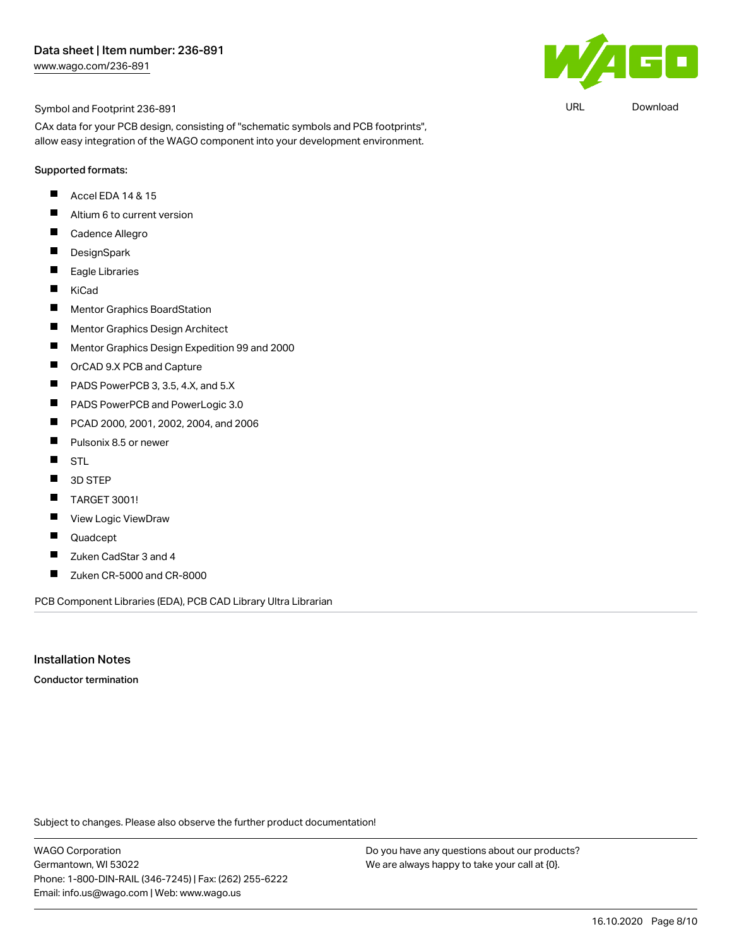URL [Download](https://www.wago.com/us/d/UltraLibrarian_URLS_236-891)

Œ

#### Symbol and Footprint 236-891

CAx data for your PCB design, consisting of "schematic symbols and PCB footprints", allow easy integration of the WAGO component into your development environment.

#### Supported formats:

- П Accel EDA 14 & 15
- $\blacksquare$ Altium 6 to current version
- $\blacksquare$ Cadence Allegro
- $\blacksquare$ **DesignSpark**
- $\blacksquare$ Eagle Libraries
- $\blacksquare$ KiCad
- $\blacksquare$ Mentor Graphics BoardStation
- $\blacksquare$ Mentor Graphics Design Architect
- $\blacksquare$ Mentor Graphics Design Expedition 99 and 2000
- $\blacksquare$ OrCAD 9.X PCB and Capture
- П PADS PowerPCB 3, 3.5, 4.X, and 5.X
- $\blacksquare$ PADS PowerPCB and PowerLogic 3.0
- $\blacksquare$ PCAD 2000, 2001, 2002, 2004, and 2006
- $\blacksquare$ Pulsonix 8.5 or newer
- $\blacksquare$ STL
- $\blacksquare$ 3D STEP
- $\blacksquare$ TARGET 3001!
- $\blacksquare$ View Logic ViewDraw
- Quadcept П
- $\blacksquare$ Zuken CadStar 3 and 4
- $\blacksquare$ Zuken CR-5000 and CR-8000

PCB Component Libraries (EDA), PCB CAD Library Ultra Librarian

#### Installation Notes

Conductor termination

Subject to changes. Please also observe the further product documentation!

WAGO Corporation Germantown, WI 53022 Phone: 1-800-DIN-RAIL (346-7245) | Fax: (262) 255-6222 Email: info.us@wago.com | Web: www.wago.us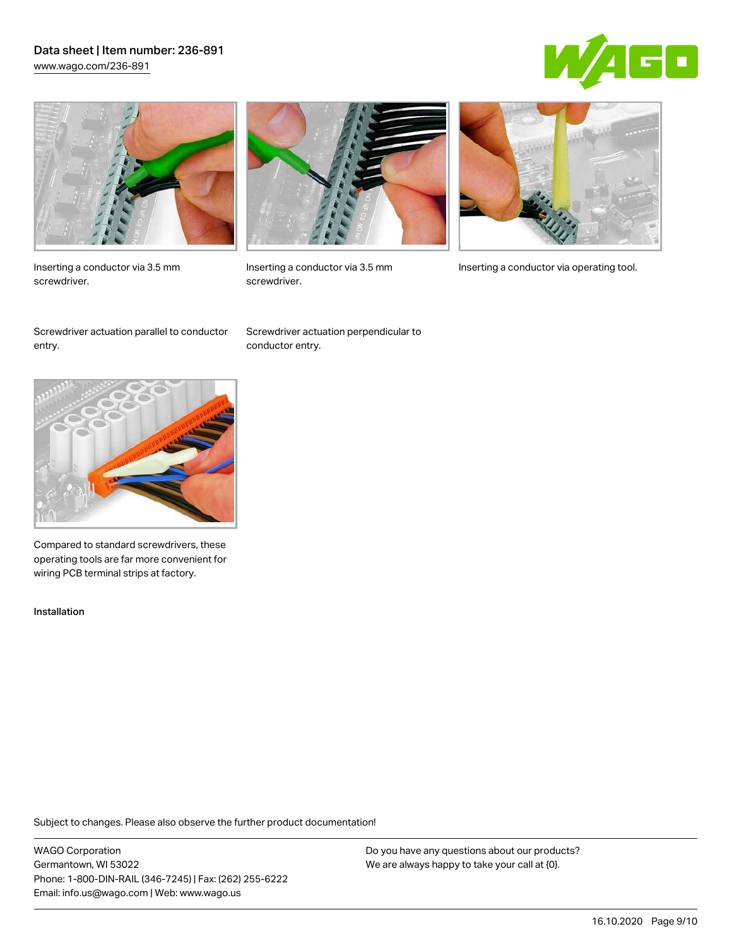## Data sheet | Item number: 236-891 [www.wago.com/236-891](http://www.wago.com/236-891)





Inserting a conductor via 3.5 mm screwdriver.



screwdriver.

Inserting a conductor via 3.5 mm Inserting a conductor via operating tool.

Screwdriver actuation parallel to conductor entry.

Screwdriver actuation perpendicular to conductor entry.



Compared to standard screwdrivers, these operating tools are far more convenient for wiring PCB terminal strips at factory.

Installation

Subject to changes. Please also observe the further product documentation!

WAGO Corporation Germantown, WI 53022 Phone: 1-800-DIN-RAIL (346-7245) | Fax: (262) 255-6222 Email: info.us@wago.com | Web: www.wago.us